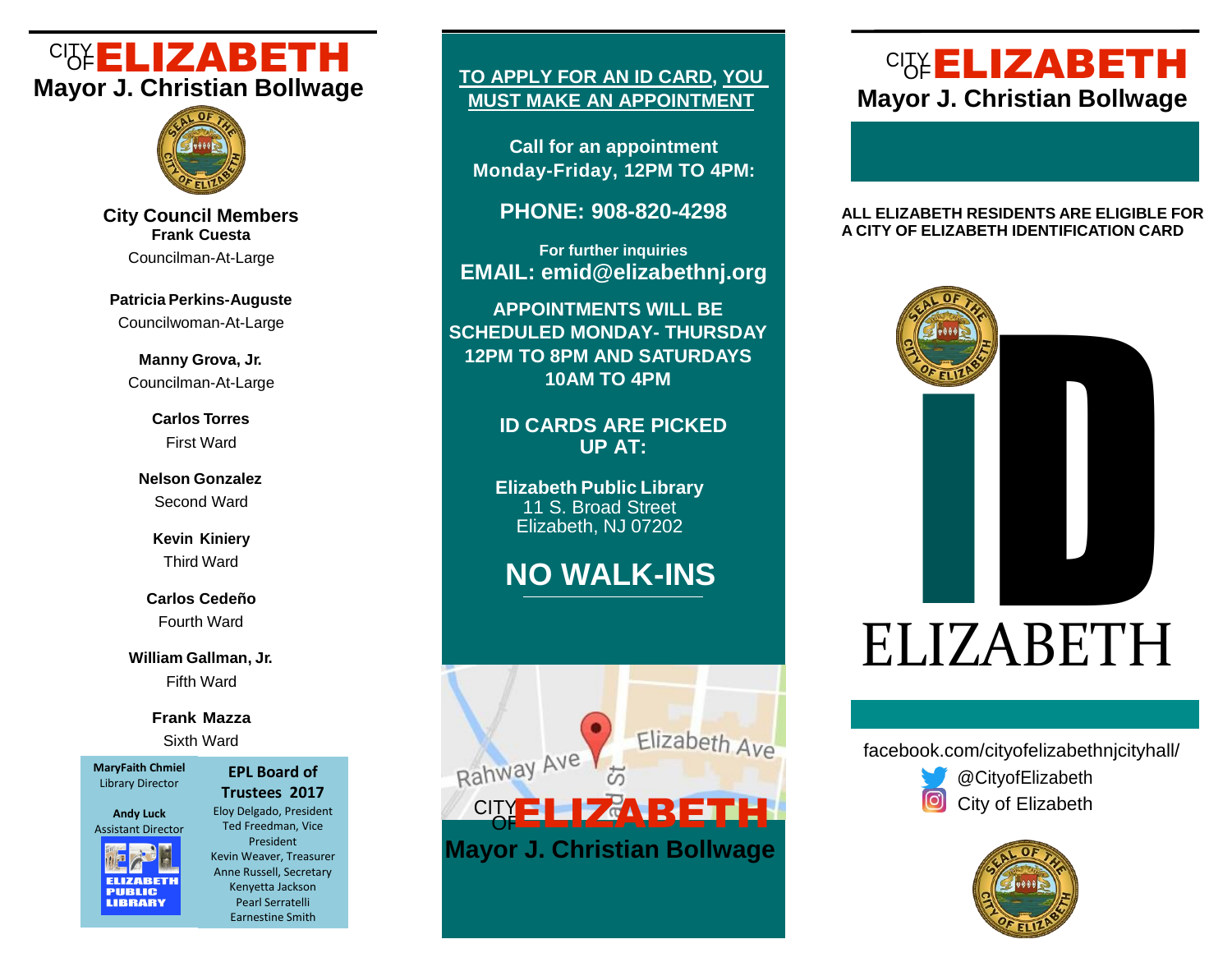# CITY CITY TO APPLY FOR AN ID CAPD YOU CITY **Mayor J. Christian Bollwage**



**City Council Members Frank Cuesta** Councilman-At-Large

**Patricia Perkins-Auguste** Councilwoman-At-Large

**Manny Grova, Jr.** Councilman-At-Large

> **Carlos Torres** First Ward

**Nelson Gonzalez** Second Ward

> **Kevin Kiniery** Third Ward

**Carlos Cedeño** Fourth Ward

**William Gallman, Jr.** Fifth Ward

### **Frank Mazza**

Sixth Ward

**MaryFaith Chmiel** Library Director

**Andy Luck** Assistant Director



**EPL Board of Trustees 2017** Eloy Delgado, President Ted Freedman, Vice President Kevin Weaver, Treasurer Anne Russell, Secretary Kenyetta Jackson Pearl Serratelli

Earnestine Smith

## **TO APPLY FOR AN ID CARD, YOU MUST MAKE AN APPOINTMENT**

**Call for an appointment Monday-Friday, 12PM TO 4PM:**

**PHONE: 908-820-4298**

**For further inquiries EMAIL: emid@elizabethnj.org** 

**APPOINTMENTS WILL BE SCHEDULED MONDAY- THURSDAY 12PM TO 8PM AND SATURDAYS 10AM TO 4PM**

> **ID CARDS ARE PICKED UP AT:**

**Elizabeth Public Library** 11 S. Broad Street Elizabeth, NJ 07202

# **NO WALK-INS**



# **CIST ELIZABETH Mayor J. Christian Bollwage**

#### **ALL ELIZABETH RESIDENTS ARE ELIGIBLE FOR A CITY OF ELIZABETH IDENTIFICATION CARD**



facebook.com/cityofelizabethnjcityhall/